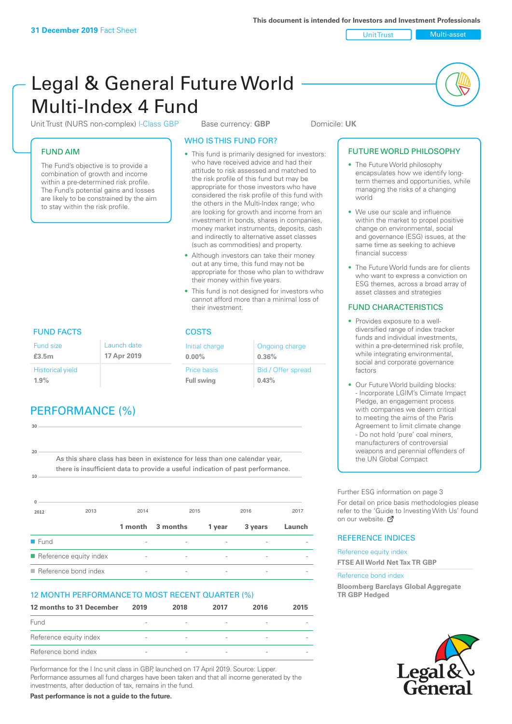Unit Trust Multi-asset

# Legal & General Future World Multi-Index 4 Fund

Unit Trust (NURS non-complex) I-Class GBP Base currency: **GBP** Domicile: UK

### FUND AIM

The Fund's objective is to provide a combination of growth and income within a pre-determined risk profile. The Fund's potential gains and losses are likely to be constrained by the aim to stay within the risk profile.

### WHO IS THIS FUND FOR?

- This fund is primarily designed for investors: who have received advice and had their attitude to risk assessed and matched to the risk profile of this fund but may be appropriate for those investors who have considered the risk profile of this fund with the others in the Multi-Index range; who are looking for growth and income from an investment in bonds, shares in companies, money market instruments, deposits, cash and indirectly to alternative asset classes (such as commodities) and property.
- Although investors can take their money out at any time, this fund may not be appropriate for those who plan to withdraw their money within five years.
- This fund is not designed for investors who cannot afford more than a minimal loss of their investment.

Ongoing charge

Bid / Offer spread

**0.36%**

**0.43%**

Initial charge **0.00%**

Price basis **Full swing**

# FUND FACTS COSTS

| Fund size<br>£3.5m      | Launch date<br>17 Apr 2019 |
|-------------------------|----------------------------|
| <b>Historical yield</b> |                            |
| 1.9%                    |                            |

# PERFORMANCE (%)

| 30                  |                                                                                |         |          |        |         |        |
|---------------------|--------------------------------------------------------------------------------|---------|----------|--------|---------|--------|
|                     |                                                                                |         |          |        |         |        |
|                     |                                                                                |         |          |        |         |        |
| 20                  | As this share class has been in existence for less than one calendar year,     |         |          |        |         |        |
|                     | there is insufficient data to provide a useful indication of past performance. |         |          |        |         |        |
| 10                  |                                                                                |         |          |        |         |        |
|                     |                                                                                |         |          |        |         |        |
|                     |                                                                                |         |          |        |         |        |
| 2012                | 2013                                                                           | 2014    |          | 2015   | 2016    | 2017   |
|                     |                                                                                | 1 month | 3 months | 1 year | 3 years | Launch |
| $\blacksquare$ Fund |                                                                                |         |          |        |         |        |
|                     | Reference equity index                                                         |         |          |        |         |        |

 $\blacksquare$  Reference bond index

### 12 MONTH PERFORMANCE TO MOST RECENT QUARTER (%)

| 12 months to 31 December | 2019                     | 2018                     | 2017                     | 2016                     | 2015 |
|--------------------------|--------------------------|--------------------------|--------------------------|--------------------------|------|
| Fund                     | $\overline{\phantom{a}}$ |                          | $\overline{\phantom{a}}$ |                          |      |
| Reference equity index   | $\overline{\phantom{a}}$ | $\overline{\phantom{a}}$ | $\overline{\phantom{a}}$ | $\overline{\phantom{a}}$ |      |
| Reference bond index     | $\overline{\phantom{a}}$ | $\overline{\phantom{a}}$ | $\qquad \qquad$          |                          |      |

Performance for the I Inc unit class in GBP, launched on 17 April 2019. Source: Lipper. Performance assumes all fund charges have been taken and that all income generated by the investments, after deduction of tax, remains in the fund.

**Past performance is not a guide to the future.**

#### • The Future World philosophy encapsulates how we identify longterm themes and opportunities, while managing the risks of a changing world

FUTURE WORLD PHILOSOPHY

- We use our scale and influence within the market to propel positive change on environmental, social and governance (ESG) issues, at the same time as seeking to achieve financial success
- The Future World funds are for clients who want to express a conviction on ESG themes, across a broad array of asset classes and strategies

### FUND CHARACTERISTICS

- Provides exposure to a welldiversified range of index tracker funds and individual investments, within a pre-determined risk profile while integrating environmental, social and corporate governance factors
- Our Future World building blocks: - Incorporate LGIM's Climate Impact Pledge, an engagement process with companies we deem critical to meeting the aims of the Paris Agreement to limit climate change - Do not hold 'pure' coal miners, manufacturers of controversial weapons and perennial offenders of the UN Global Compact

Further ESG information on page 3

For detail on price basis methodologies please refer to the 'Guide to Investing With Us' found on our website. a

### REFERENCE INDICES

Reference equity index **FTSE All World Net Tax TR GBP**

#### Reference bond index

**Bloomberg Barclays Global Aggregate TR GBP Hedged**

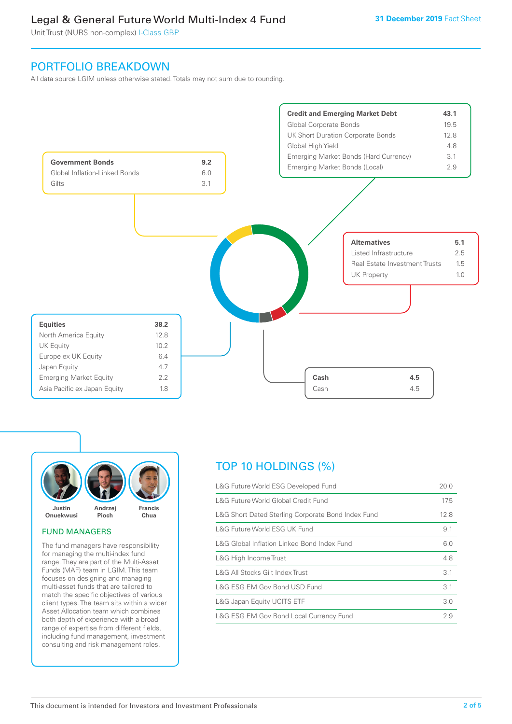## Legal & General Future World Multi-Index 4 Fund

Unit Trust (NURS non-complex) I-Class GBP

### PORTFOLIO BREAKDOWN

All data source LGIM unless otherwise stated. Totals may not sum due to rounding.





#### FUND MANAGERS

The fund managers have responsibility for managing the multi-index fund range. They are part of the Multi-Asset Funds (MAF) team in LGIM. This team focuses on designing and managing multi-asset funds that are tailored to match the specific objectives of various client types. The team sits within a wider Asset Allocation team which combines both depth of experience with a broad range of expertise from different fields, including fund management, investment consulting and risk management roles.

# TOP 10 HOLDINGS (%)

| L&G Future World Global Credit Fund                | 17.5 |
|----------------------------------------------------|------|
| L&G Short Dated Sterling Corporate Bond Index Fund | 12.8 |
| L&G Future World ESG UK Fund                       | 9.1  |
| L&G Global Inflation Linked Bond Index Fund        | 6.0  |
| L&G High Income Trust                              | 4.8  |
| L&G All Stocks Gilt Index Trust                    | 3.1  |
| L&G ESG EM Gov Bond USD Fund                       | 3.1  |
| L&G Japan Equity UCITS ETF                         | 3.0  |
| L&G ESG EM Gov Bond Local Currency Fund            | 2.9  |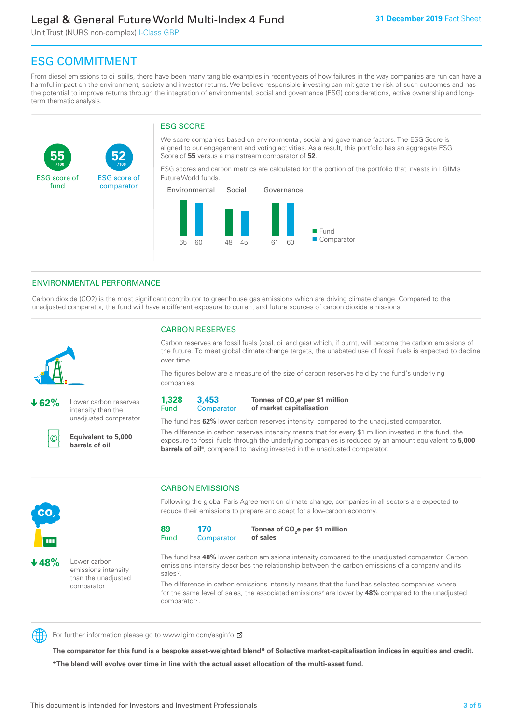## Legal & General Future World Multi-Index 4 Fund

Unit Trust (NURS non-complex) I-Class GBP

**52**

ESG score of comparator

# ESG COMMITMENT

**/100 /100**

From diesel emissions to oil spills, there have been many tangible examples in recent years of how failures in the way companies are run can have a harmful impact on the environment, society and investor returns. We believe responsible investing can mitigate the risk of such outcomes and has the potential to improve returns through the integration of environmental, social and governance (ESG) considerations, active ownership and longterm thematic analysis.

### ESG SCORE

We score companies based on environmental, social and governance factors. The ESG Score is aligned to our engagement and voting activities. As a result, this portfolio has an aggregate ESG Score of **55** versus a mainstream comparator of **52**.

ESG scores and carbon metrics are calculated for the portion of the portfolio that invests in LGIM's Future World funds.



### ENVIRONMENTAL PERFORMANCE

**62%** Lower carbon reserves intensity than the unadjusted comparator

> **Equivalent to 5,000 barrels of oil**

Carbon dioxide (CO2) is the most significant contributor to greenhouse gas emissions which are driving climate change. Compared to the unadjusted comparator, the fund will have a different exposure to current and future sources of carbon dioxide emissions.



൹

**55**

ESG score of fund

> the future. To meet global climate change targets, the unabated use of fossil fuels is expected to decline over time.

CARBON RESERVES

The figures below are a measure of the size of carbon reserves held by the fund's underlying companies.

Carbon reserves are fossil fuels (coal, oil and gas) which, if burnt, will become the carbon emissions of

**1,328** Fund **3,453 Comparator** 

**Tonnes of CO2 ei per \$1 million of market capitalisation**

The fund has **62%** lower carbon reserves intensityii compared to the unadjusted comparator. The difference in carbon reserves intensity means that for every \$1 million invested in the fund, the exposure to fossil fuels through the underlying companies is reduced by an amount equivalent to **5,000** 

**barrels of oil**<sup>iii</sup>, compared to having invested in the unadjusted comparator.



**48%** Lower carbon emissions intensity than the unadjusted comparator

### CARBON EMISSIONS

Following the global Paris Agreement on climate change, companies in all sectors are expected to reduce their emissions to prepare and adapt for a low-carbon economy.

**89** Fund **170 Comparator** 

**Tonnes of CO2 e per \$1 million of sales**

The fund has **48%** lower carbon emissions intensity compared to the unadjusted comparator. Carbon emissions intensity describes the relationship between the carbon emissions of a company and its salesiv

The difference in carbon emissions intensity means that the fund has selected companies where, for the same level of sales, the associated emissions<sup>v</sup> are lower by 48% compared to the unadjusted comparator<sup>vi</sup>.



For further information please go to www.lgim.com/esginfo Ø

**The comparator for this fund is a bespoke asset-weighted blend\* of Solactive market-capitalisation indices in equities and credit. \*The blend will evolve over time in line with the actual asset allocation of the multi-asset fund.**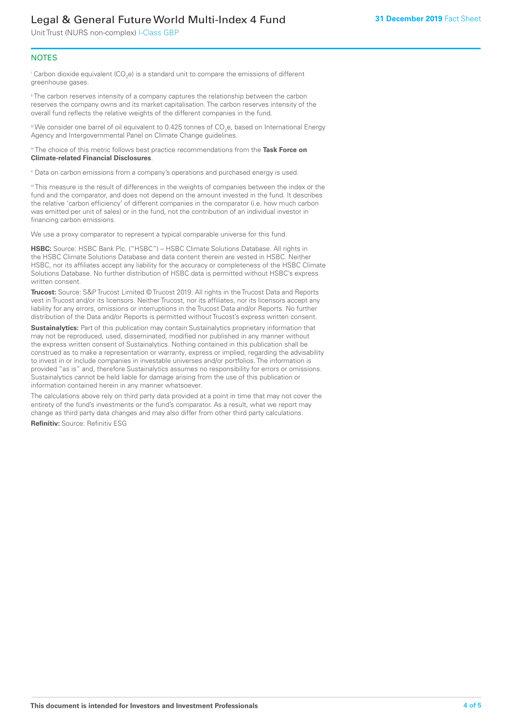# Legal & General Future World Multi-Index 4 Fund

Unit Trust (NURS non-complex) I-Class GBP

### **NOTES**

 $^\mathrm{i}$  Carbon dioxide equivalent (CO<sub>2</sub>e) is a standard unit to compare the emissions of different greenhouse gases.

<sup>ii</sup> The carbon reserves intensity of a company captures the relationship between the carbon reserves the company owns and its market capitalisation. The carbon reserves intensity of the overall fund reflects the relative weights of the different companies in the fund.

iii We consider one barrel of oil equivalent to 0.425 tonnes of CO<sub>2</sub>e, based on International Energy Agency and Intergovernmental Panel on Climate Change guidelines.

#### iv The choice of this metric follows best practice recommendations from the **Task Force on Climate-related Financial Disclosures**.

v Data on carbon emissions from a company's operations and purchased energy is used.

vi This measure is the result of differences in the weights of companies between the index or the fund and the comparator, and does not depend on the amount invested in the fund. It describes the relative 'carbon efficiency' of different companies in the comparator (i.e. how much carbon was emitted per unit of sales) or in the fund, not the contribution of an individual investor in financing carbon emissions.

We use a proxy comparator to represent a typical comparable universe for this fund.

**HSBC:** Source: HSBC Bank Plc. ("HSBC") – HSBC Climate Solutions Database. All rights in the HSBC Climate Solutions Database and data content therein are vested in HSBC. Neither HSBC, nor its affiliates accept any liability for the accuracy or completeness of the HSBC Climate Solutions Database. No further distribution of HSBC data is permitted without HSBC's express written consent.

**Trucost:** Source: S&P Trucost Limited © Trucost 2019. All rights in the Trucost Data and Reports vest in Trucost and/or its licensors. Neither Trucost, nor its affiliates, nor its licensors accept any liability for any errors, omissions or interruptions in the Trucost Data and/or Reports. No further distribution of the Data and/or Reports is permitted without Trucost's express written consent.

**Sustainalytics:** Part of this publication may contain Sustainalytics proprietary information that may not be reproduced, used, disseminated, modified nor published in any manner without the express written consent of Sustainalytics. Nothing contained in this publication shall be construed as to make a representation or warranty, express or implied, regarding the advisability to invest in or include companies in investable universes and/or portfolios. The information is provided "as is" and, therefore Sustainalytics assumes no responsibility for errors or omissions. Sustainalytics cannot be held liable for damage arising from the use of this publication or information contained herein in any manner whatsoever.

The calculations above rely on third party data provided at a point in time that may not cover the entirety of the fund's investments or the fund's comparator. As a result, what we report may change as third party data changes and may also differ from other third party calculations.

**Refinitiv:** Source: Refinitiv ESG